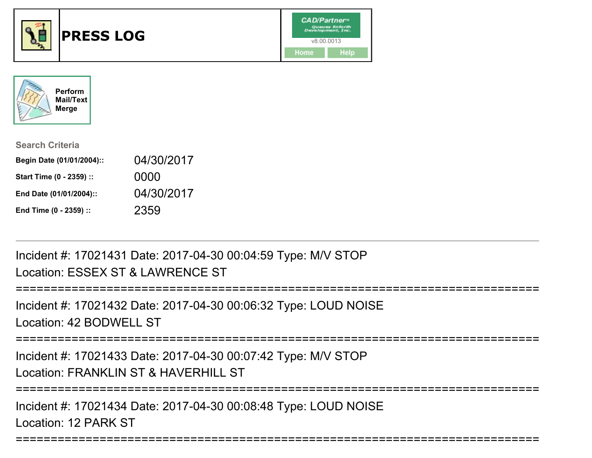



| <b>Search Criteria</b>    |            |
|---------------------------|------------|
| Begin Date (01/01/2004):: | 04/30/2017 |
| Start Time (0 - 2359) ::  | 0000       |
| End Date (01/01/2004)::   | 04/30/2017 |
| End Time (0 - 2359) ::    | 2359       |

Incident #: 17021431 Date: 2017-04-30 00:04:59 Type: M/V STOPLocation: ESSEX ST & LAWRENCE ST

===========================================================================Incident #: 17021432 Date: 2017-04-30 00:06:32 Type: LOUD NOISELocation: 42 BODWELL ST===========================================================================Incident #: 17021433 Date: 2017-04-30 00:07:42 Type: M/V STOPLocation: FRANKLIN ST & HAVERHILL ST===========================================================================Incident #: 17021434 Date: 2017-04-30 00:08:48 Type: LOUD NOISE

===========================================================================

Location: 12 PARK ST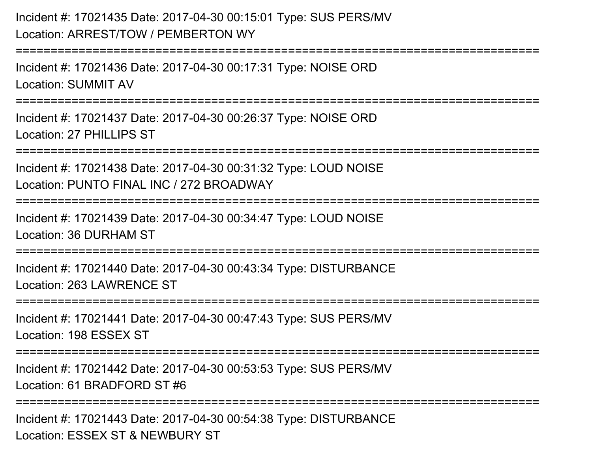## Incident #: 17021435 Date: 2017-04-30 00:15:01 Type: SUS PERS/MVLocation: ARREST/TOW / PEMBERTON WY

===========================================================================Incident #: 17021436 Date: 2017-04-30 00:17:31 Type: NOISE ORDLocation: SUMMIT AV===========================================================================Incident #: 17021437 Date: 2017-04-30 00:26:37 Type: NOISE ORDLocation: 27 PHILLIPS ST===========================================================================Incident #: 17021438 Date: 2017-04-30 00:31:32 Type: LOUD NOISELocation: PUNTO FINAL INC / 272 BROADWAY===========================================================================Incident #: 17021439 Date: 2017-04-30 00:34:47 Type: LOUD NOISELocation: 36 DURHAM ST**=================** Incident #: 17021440 Date: 2017-04-30 00:43:34 Type: DISTURBANCELocation: 263 LAWRENCE ST===========================================================================

Incident #: 17021441 Date: 2017-04-30 00:47:43 Type: SUS PERS/MVLocation: 198 ESSEX ST

===========================================================================

Incident #: 17021442 Date: 2017-04-30 00:53:53 Type: SUS PERS/MVLocation: 61 BRADFORD ST #6

**================** 

Incident #: 17021443 Date: 2017-04-30 00:54:38 Type: DISTURBANCELocation: ESSEX ST & NEWBURY ST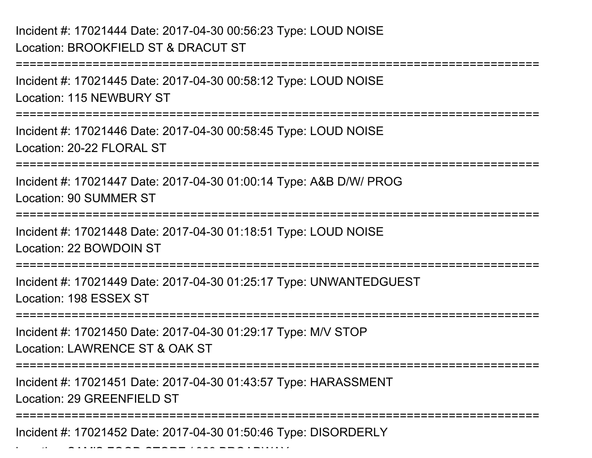Location: Samuel Hotel Product Store / 389 Broadway 2009

===========================================================================Incident #: 17021445 Date: 2017-04-30 00:58:12 Type: LOUD NOISELocation: 115 NEWBURY ST===========================================================================Incident #: 17021446 Date: 2017-04-30 00:58:45 Type: LOUD NOISELocation: 20-22 FLORAL ST===========================================================================Incident #: 17021447 Date: 2017-04-30 01:00:14 Type: A&B D/W/ PROGLocation: 90 SUMMER ST===========================================================================Incident #: 17021448 Date: 2017-04-30 01:18:51 Type: LOUD NOISELocation: 22 BOWDOIN ST===========================================================================Incident #: 17021449 Date: 2017-04-30 01:25:17 Type: UNWANTEDGUESTLocation: 198 ESSEX ST===========================================================================Incident #: 17021450 Date: 2017-04-30 01:29:17 Type: M/V STOPLocation: LAWRENCE ST & OAK ST===========================================================================Incident #: 17021451 Date: 2017-04-30 01:43:57 Type: HARASSMENTLocation: 29 GREENFIELD ST===========================================================================Incident #: 17021452 Date: 2017-04-30 01:50:46 Type: DISORDERLY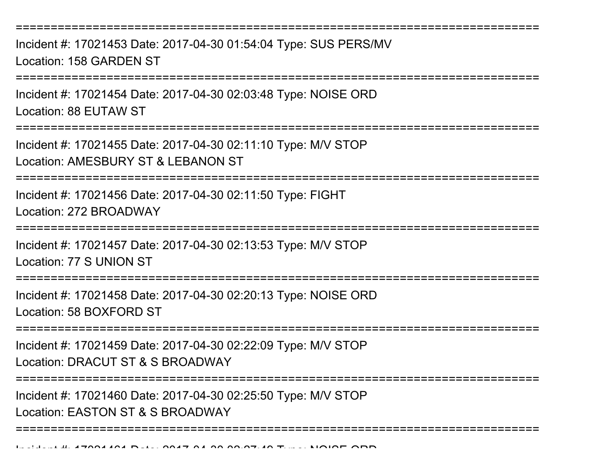===========================================================================Incident #: 17021453 Date: 2017-04-30 01:54:04 Type: SUS PERS/MVLocation: 158 GARDEN ST===========================================================================Incident #: 17021454 Date: 2017-04-30 02:03:48 Type: NOISE ORDLocation: 88 EUTAW ST=================== Incident #: 17021455 Date: 2017-04-30 02:11:10 Type: M/V STOPLocation: AMESBURY ST & LEBANON ST**============================** Incident #: 17021456 Date: 2017-04-30 02:11:50 Type: FIGHTLocation: 272 BROADWAY===========================================================================Incident #: 17021457 Date: 2017-04-30 02:13:53 Type: M/V STOPLocation: 77 S UNION ST===========================================================================Incident #: 17021458 Date: 2017-04-30 02:20:13 Type: NOISE ORDLocation: 58 BOXFORD ST===========================================================================Incident #: 17021459 Date: 2017-04-30 02:22:09 Type: M/V STOPLocation: DRACUT ST & S BROADWAY===========================================================================Incident #: 17021460 Date: 2017-04-30 02:25:50 Type: M/V STOPLocation: EASTON ST & S BROADWAY===========================================================================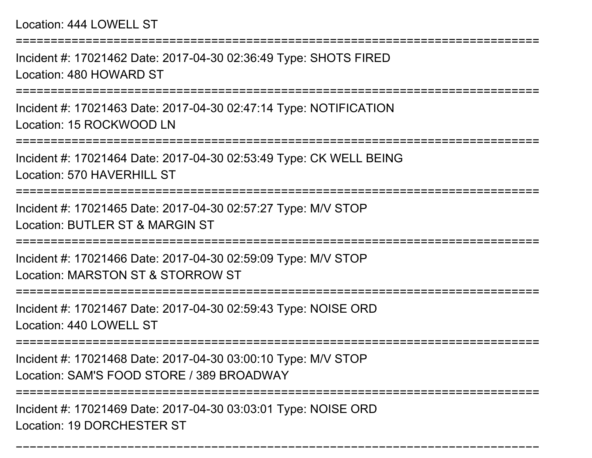===========================================================================Incident #: 17021462 Date: 2017-04-30 02:36:49 Type: SHOTS FIREDLocation: 480 HOWARD ST===========================================================================Incident #: 17021463 Date: 2017-04-30 02:47:14 Type: NOTIFICATIONLocation: 15 ROCKWOOD LN===========================================================================Incident #: 17021464 Date: 2017-04-30 02:53:49 Type: CK WELL BEINGLocation: 570 HAVERHILL ST ===========================================================================Incident #: 17021465 Date: 2017-04-30 02:57:27 Type: M/V STOPLocation: BUTLER ST & MARGIN ST ===========================================================================Incident #: 17021466 Date: 2017-04-30 02:59:09 Type: M/V STOPLocation: MARSTON ST & STORROW ST===========================================================================Incident #: 17021467 Date: 2017-04-30 02:59:43 Type: NOISE ORDLocation: 440 LOWELL ST===========================================================================Incident #: 17021468 Date: 2017-04-30 03:00:10 Type: M/V STOPLocation: SAM'S FOOD STORE / 389 BROADWAY================== Incident #: 17021469 Date: 2017-04-30 03:03:01 Type: NOISE ORD

===========================================================================

Location: 19 DORCHESTER ST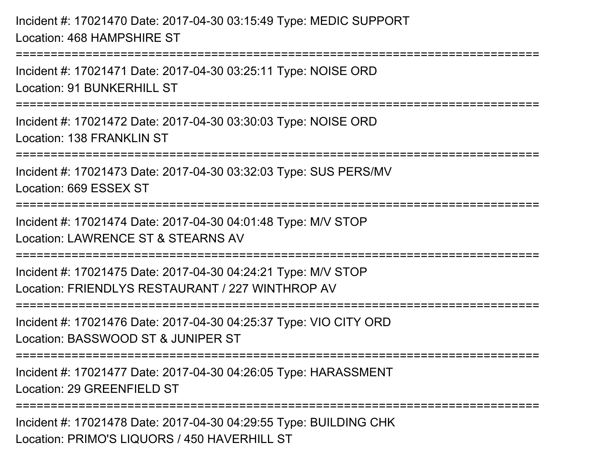Incident #: 17021470 Date: 2017-04-30 03:15:49 Type: MEDIC SUPPORTLocation: 468 HAMPSHIRE ST===========================================================================Incident #: 17021471 Date: 2017-04-30 03:25:11 Type: NOISE ORDLocation: 91 BUNKERHILL ST ===========================================================================Incident #: 17021472 Date: 2017-04-30 03:30:03 Type: NOISE ORDLocation: 138 FRANKLIN ST ===========================================================================Incident #: 17021473 Date: 2017-04-30 03:32:03 Type: SUS PERS/MVLocation: 669 ESSEX ST===========================================================================Incident #: 17021474 Date: 2017-04-30 04:01:48 Type: M/V STOPLocation: LAWRENCE ST & STEARNS AV===========================================================================Incident #: 17021475 Date: 2017-04-30 04:24:21 Type: M/V STOPLocation: FRIENDLYS RESTAURANT / 227 WINTHROP AV===========================================================================Incident #: 17021476 Date: 2017-04-30 04:25:37 Type: VIO CITY ORDLocation: BASSWOOD ST & JUNIPER ST===========================================================================Incident #: 17021477 Date: 2017-04-30 04:26:05 Type: HARASSMENTLocation: 29 GREENFIELD ST===========================================================================Incident #: 17021478 Date: 2017-04-30 04:29:55 Type: BUILDING CHKLocation: PRIMO'S LIQUORS / 450 HAVERHILL ST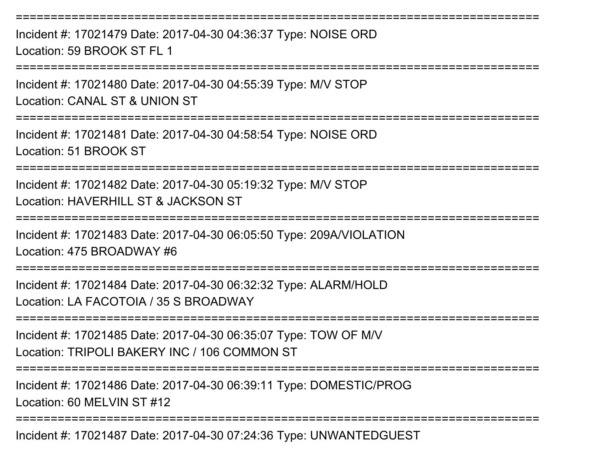Incident #: 17021479 Date: 2017-04-30 04:36:37 Type: NOISE ORDLocation: 59 BROOK ST FL 1

===========================================================================

===========================================================================

Incident #: 17021480 Date: 2017-04-30 04:55:39 Type: M/V STOPLocation: CANAL ST & UNION ST

===========================================================================

Incident #: 17021481 Date: 2017-04-30 04:58:54 Type: NOISE ORDLocation: 51 BROOK ST

===========================================================================

Incident #: 17021482 Date: 2017-04-30 05:19:32 Type: M/V STOPLocation: HAVERHILL ST & JACKSON ST

===========================================================================

Incident #: 17021483 Date: 2017-04-30 06:05:50 Type: 209A/VIOLATIONLocation: 475 BROADWAY #6

===========================================================================

Incident #: 17021484 Date: 2017-04-30 06:32:32 Type: ALARM/HOLDLocation: LA FACOTOIA / 35 S BROADWAY

===========================================================================

Incident #: 17021485 Date: 2017-04-30 06:35:07 Type: TOW OF M/VLocation: TRIPOLI BAKERY INC / 106 COMMON ST

===========================================================================

Incident #: 17021486 Date: 2017-04-30 06:39:11 Type: DOMESTIC/PROGLocation: 60 MELVIN ST #12

===========================================================================

Incident #: 17021487 Date: 2017-04-30 07:24:36 Type: UNWANTEDGUEST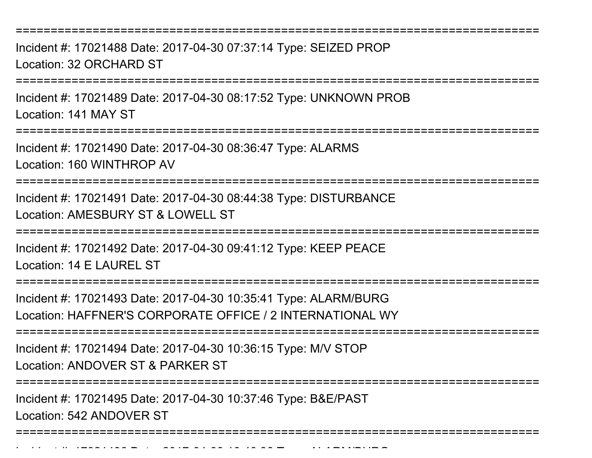===========================================================================

Incident #: 17021488 Date: 2017-04-30 07:37:14 Type: SEIZED PROPLocation: 32 ORCHARD ST

===========================================================================

Incident #: 17021489 Date: 2017-04-30 08:17:52 Type: UNKNOWN PROBLocation: 141 MAY ST

===========================================================================

Incident #: 17021490 Date: 2017-04-30 08:36:47 Type: ALARMSLocation: 160 WINTHROP AV

===========================================================================

Incident #: 17021491 Date: 2017-04-30 08:44:38 Type: DISTURBANCELocation: AMESBURY ST & LOWELL ST

===========================================================================

Incident #: 17021492 Date: 2017-04-30 09:41:12 Type: KEEP PEACELocation: 14 F LAUREL ST

===========================================================================

Incident #: 17021493 Date: 2017-04-30 10:35:41 Type: ALARM/BURGLocation: HAFFNER'S CORPORATE OFFICE / 2 INTERNATIONAL WY

===========================================================================

Incident #: 17021494 Date: 2017-04-30 10:36:15 Type: M/V STOP

Location: ANDOVER ST & PARKER ST

===========================================================================

Incident #: 17021495 Date: 2017-04-30 10:37:46 Type: B&E/PAST

Location: 542 ANDOVER ST

===========================================================================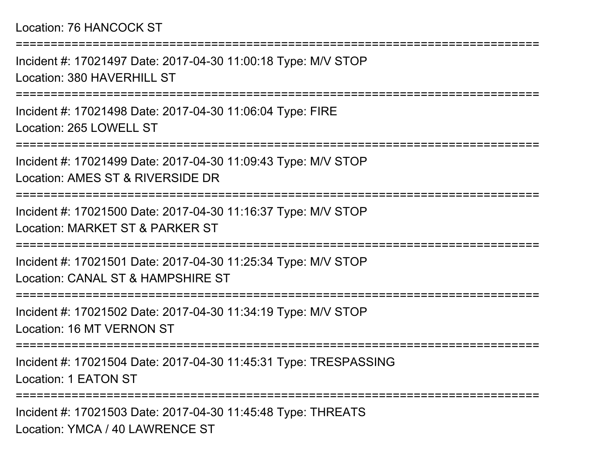## Location: 76 HANCOCK ST

===========================================================================Incident #: 17021497 Date: 2017-04-30 11:00:18 Type: M/V STOPLocation: 380 HAVERHILL ST ===========================================================================Incident #: 17021498 Date: 2017-04-30 11:06:04 Type: FIRELocation: 265 LOWELL ST===========================================================================Incident #: 17021499 Date: 2017-04-30 11:09:43 Type: M/V STOPLocation: AMES ST & RIVERSIDE DR ===========================================================================Incident #: 17021500 Date: 2017-04-30 11:16:37 Type: M/V STOPLocation: MARKET ST & PARKER ST===========================================================================Incident #: 17021501 Date: 2017-04-30 11:25:34 Type: M/V STOPLocation: CANAL ST & HAMPSHIRE ST===========================================================================Incident #: 17021502 Date: 2017-04-30 11:34:19 Type: M/V STOPLocation: 16 MT VERNON ST===========================================================================Incident #: 17021504 Date: 2017-04-30 11:45:31 Type: TRESPASSINGLocation: 1 EATON ST===================

Incident #: 17021503 Date: 2017-04-30 11:45:48 Type: THREATSLocation: YMCA / 40 LAWRENCE ST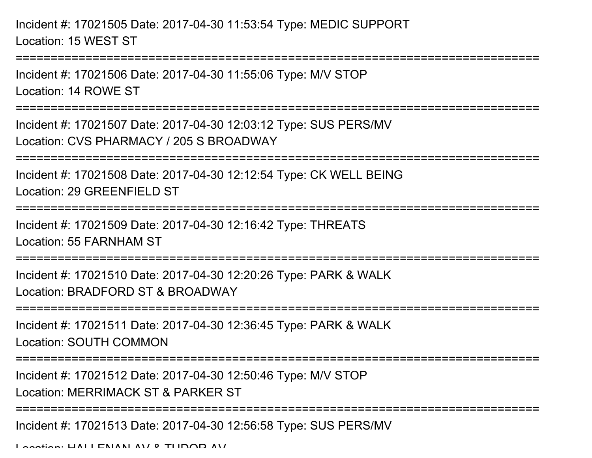Incident #: 17021505 Date: 2017-04-30 11:53:54 Type: MEDIC SUPPORTLocation: 15 WEST ST

Incident #: 17021506 Date: 2017-04-30 11:55:06 Type: M/V STOPLocation: 14 ROWE ST

===========================================================================

===========================================================================

Incident #: 17021507 Date: 2017-04-30 12:03:12 Type: SUS PERS/MVLocation: CVS PHARMACY / 205 S BROADWAY

===========================================================================

Incident #: 17021508 Date: 2017-04-30 12:12:54 Type: CK WELL BEINGLocation: 29 GREENFIELD ST

===========================================================================

Incident #: 17021509 Date: 2017-04-30 12:16:42 Type: THREATS

Location: 55 FARNHAM ST

===========================================================================

Incident #: 17021510 Date: 2017-04-30 12:20:26 Type: PARK & WALKLocation: BRADFORD ST & BROADWAY

===========================================================================

Incident #: 17021511 Date: 2017-04-30 12:36:45 Type: PARK & WALKLocation: SOUTH COMMON

===========================================================================

Incident #: 17021512 Date: 2017-04-30 12:50:46 Type: M/V STOP

Location: MERRIMACK ST & PARKER ST

===========================================================================

Incident #: 17021513 Date: 2017-04-30 12:56:58 Type: SUS PERS/MV

Location: HALLENAN AV & TUDOR AV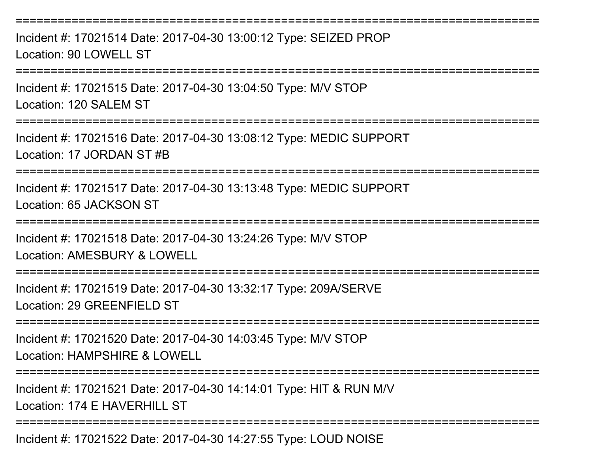===========================================================================Incident #: 17021514 Date: 2017-04-30 13:00:12 Type: SEIZED PROPLocation: 90 LOWELL ST===========================================================================Incident #: 17021515 Date: 2017-04-30 13:04:50 Type: M/V STOPLocation: 120 SALEM ST===========================================================================Incident #: 17021516 Date: 2017-04-30 13:08:12 Type: MEDIC SUPPORTLocation: 17 JORDAN ST #B===========================================================================Incident #: 17021517 Date: 2017-04-30 13:13:48 Type: MEDIC SUPPORTLocation: 65 JACKSON ST===========================================================================Incident #: 17021518 Date: 2017-04-30 13:24:26 Type: M/V STOPLocation: AMESBURY & LOWELL===========================================================================Incident #: 17021519 Date: 2017-04-30 13:32:17 Type: 209A/SERVELocation: 29 GREENFIELD ST ===========================================================================Incident #: 17021520 Date: 2017-04-30 14:03:45 Type: M/V STOPLocation: HAMPSHIRE & LOWELL===========================================================================Incident #: 17021521 Date: 2017-04-30 14:14:01 Type: HIT & RUN M/VLocation: 174 F HAVERHILL ST ===========================================================================

Incident #: 17021522 Date: 2017-04-30 14:27:55 Type: LOUD NOISE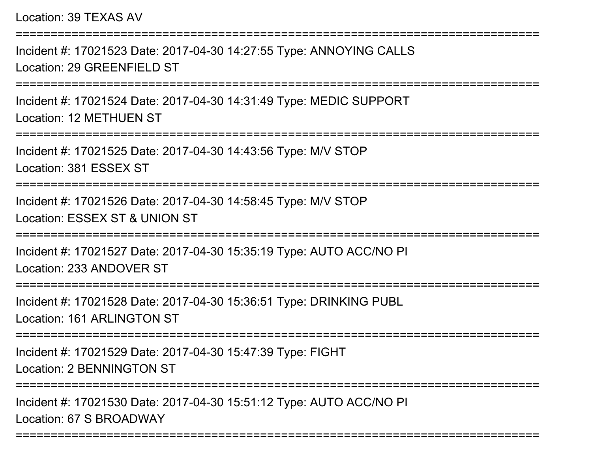Location: 39 TEXAS AV

Incident #: 17021523 Date: 2017-04-30 14:27:55 Type: ANNOYING CALLSLocation: 29 GREENFIELD ST

===========================================================================

===========================================================================

Incident #: 17021524 Date: 2017-04-30 14:31:49 Type: MEDIC SUPPORTLocation: 12 METHUEN ST

===========================================================================

Incident #: 17021525 Date: 2017-04-30 14:43:56 Type: M/V STOP

Location: 381 ESSEX ST

===========================================================================

Incident #: 17021526 Date: 2017-04-30 14:58:45 Type: M/V STOPLocation: ESSEX ST & UNION ST

===========================================================================

Incident #: 17021527 Date: 2017-04-30 15:35:19 Type: AUTO ACC/NO PILocation: 233 ANDOVER ST

===========================================================================

Incident #: 17021528 Date: 2017-04-30 15:36:51 Type: DRINKING PUBLLocation: 161 ARLINGTON ST

===========================================================================

Incident #: 17021529 Date: 2017-04-30 15:47:39 Type: FIGHTLocation: 2 BENNINGTON ST

===========================================================================

===========================================================================

Incident #: 17021530 Date: 2017-04-30 15:51:12 Type: AUTO ACC/NO PILocation: 67 S BROADWAY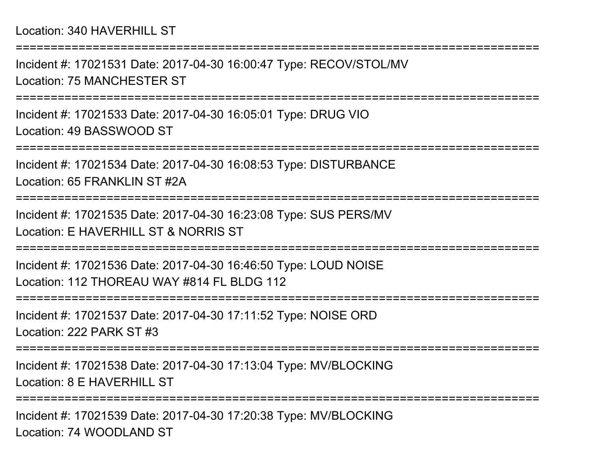===========================================================================Incident #: 17021531 Date: 2017-04-30 16:00:47 Type: RECOV/STOL/MVLocation: 75 MANCHESTER ST===========================================================================Incident #: 17021533 Date: 2017-04-30 16:05:01 Type: DRUG VIOLocation: 49 BASSWOOD ST===========================================================================Incident #: 17021534 Date: 2017-04-30 16:08:53 Type: DISTURBANCELocation: 65 FRANKLIN ST #2A===========================================================================Incident #: 17021535 Date: 2017-04-30 16:23:08 Type: SUS PERS/MVLocation: E HAVERHILL ST & NORRIS ST ===========================================================================Incident #: 17021536 Date: 2017-04-30 16:46:50 Type: LOUD NOISELocation: 112 THORFAU WAY #814 FL BLDG 112 ===========================================================================Incident #: 17021537 Date: 2017-04-30 17:11:52 Type: NOISE ORDLocation: 222 PARK ST #3===========================================================================Incident #: 17021538 Date: 2017-04-30 17:13:04 Type: MV/BLOCKINGLocation: 8 F HAVERHILL ST ===========================================================================Incident #: 17021539 Date: 2017-04-30 17:20:38 Type: MV/BLOCKING

Location: 74 WOODLAND ST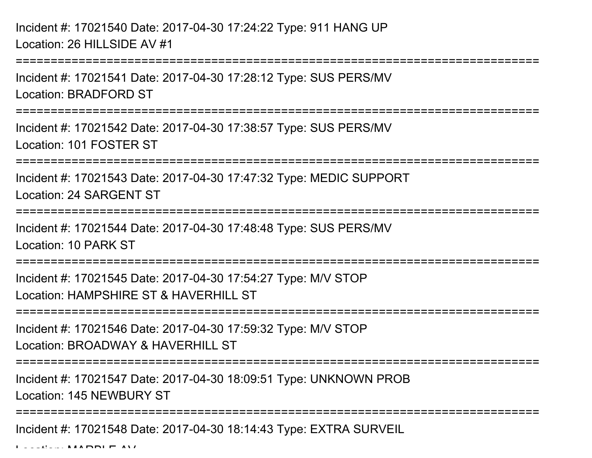Incident #: 17021540 Date: 2017-04-30 17:24:22 Type: 911 HANG UPLocation: 26 HILLSIDE AV #1

===========================================================================

Incident #: 17021541 Date: 2017-04-30 17:28:12 Type: SUS PERS/MVLocation: BRADFORD ST

===========================================================================

Incident #: 17021542 Date: 2017-04-30 17:38:57 Type: SUS PERS/MVLocation: 101 FOSTER ST

===========================================================================

Incident #: 17021543 Date: 2017-04-30 17:47:32 Type: MEDIC SUPPORTLocation: 24 SARGENT ST

===========================================================================

Incident #: 17021544 Date: 2017-04-30 17:48:48 Type: SUS PERS/MVLocation: 10 PARK ST

===========================================================================

Incident #: 17021545 Date: 2017-04-30 17:54:27 Type: M/V STOPLocation: HAMPSHIRF ST & HAVERHILL ST

=============================

Incident #: 17021546 Date: 2017-04-30 17:59:32 Type: M/V STOPLocation: BROADWAY & HAVERHILL ST

===========================================================================

Incident #: 17021547 Date: 2017-04-30 18:09:51 Type: UNKNOWN PROBLocation: 145 NEWBURY ST

===========================================================================

Incident #: 17021548 Date: 2017-04-30 18:14:43 Type: EXTRA SURVEIL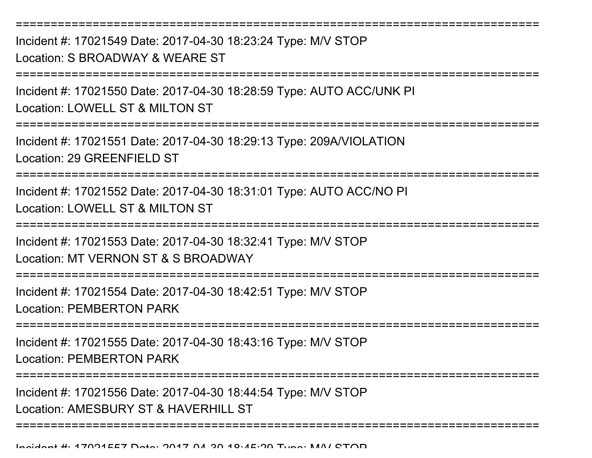===========================================================================Incident #: 17021549 Date: 2017-04-30 18:23:24 Type: M/V STOPLocation: S BROADWAY & WEARE ST===========================================================================Incident #: 17021550 Date: 2017-04-30 18:28:59 Type: AUTO ACC/UNK PILocation: LOWELL ST & MILTON ST===========================================================================Incident #: 17021551 Date: 2017-04-30 18:29:13 Type: 209A/VIOLATIONLocation: 29 GREENFIELD ST===========================================================================Incident #: 17021552 Date: 2017-04-30 18:31:01 Type: AUTO ACC/NO PILocation: LOWELL ST & MILTON ST===========================================================================Incident #: 17021553 Date: 2017-04-30 18:32:41 Type: M/V STOPLocation: MT VERNON ST & S BROADWAY===========================================================================Incident #: 17021554 Date: 2017-04-30 18:42:51 Type: M/V STOPLocation: PEMBERTON PARK===========================================================================Incident #: 17021555 Date: 2017-04-30 18:43:16 Type: M/V STOPLocation: PEMBERTON PARK===========================================================================

Incident #: 17021556 Date: 2017-04-30 18:44:54 Type: M/V STOPLocation: AMESBURY ST & HAVERHILL ST

===========================================================================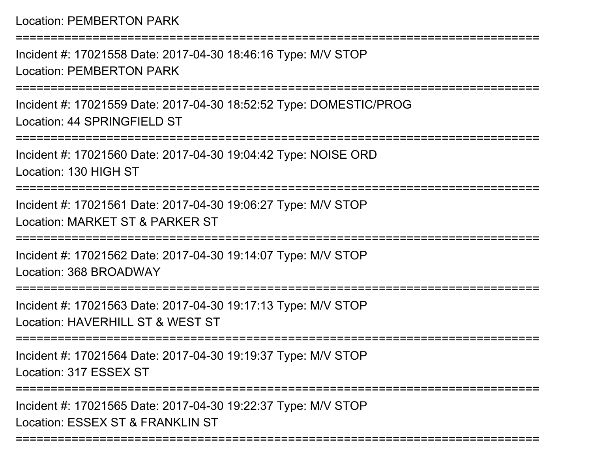===========================================================================

Incident #: 17021558 Date: 2017-04-30 18:46:16 Type: M/V STOPLocation: PEMBERTON PARK

===========================================================================

Incident #: 17021559 Date: 2017-04-30 18:52:52 Type: DOMESTIC/PROGLocation: 44 SPRINGFIELD ST

===========================================================================

Incident #: 17021560 Date: 2017-04-30 19:04:42 Type: NOISE ORDLocation: 130 HIGH ST

===========================================================================

Incident #: 17021561 Date: 2017-04-30 19:06:27 Type: M/V STOPLocation: MARKET ST & PARKER ST

===========================================================================

Incident #: 17021562 Date: 2017-04-30 19:14:07 Type: M/V STOPLocation: 368 BROADWAY

===========================================================================

Incident #: 17021563 Date: 2017-04-30 19:17:13 Type: M/V STOPLocation: HAVERHILL ST & WEST ST

===========================================================================

Incident #: 17021564 Date: 2017-04-30 19:19:37 Type: M/V STOPLocation: 317 ESSEX ST

===========================================================================

Incident #: 17021565 Date: 2017-04-30 19:22:37 Type: M/V STOPLocation: ESSEX ST & FRANKLIN ST

===========================================================================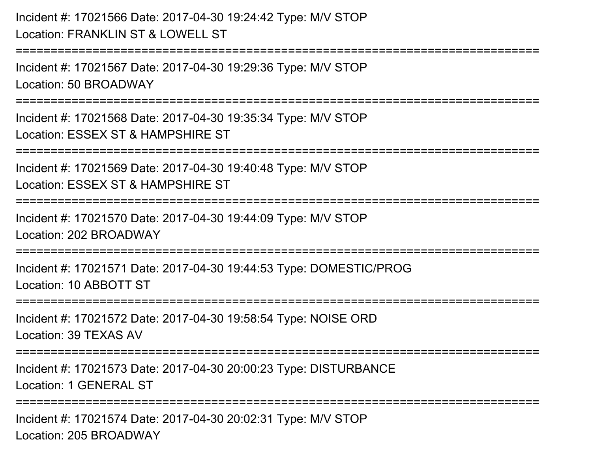```
Incident #: 17021566 Date: 2017-04-30 19:24:42 Type: M/V STOPLocation: FRANKLIN ST & LOWELL ST===========================================================================Incident #: 17021567 Date: 2017-04-30 19:29:36 Type: M/V STOPLocation: 50 BROADWAY===========================================================================Incident #: 17021568 Date: 2017-04-30 19:35:34 Type: M/V STOPLocation: ESSEX ST & HAMPSHIRE ST===========================================================================Incident #: 17021569 Date: 2017-04-30 19:40:48 Type: M/V STOPLocation: ESSEX ST & HAMPSHIRE ST===========================================================================Incident #: 17021570 Date: 2017-04-30 19:44:09 Type: M/V STOPLocation: 202 BROADWAY===========================================================================Incident #: 17021571 Date: 2017-04-30 19:44:53 Type: DOMESTIC/PROGLocation: 10 ABBOTT ST===========================================================================Incident #: 17021572 Date: 2017-04-30 19:58:54 Type: NOISE ORDLocation: 39 TEXAS AV===========================================================================Incident #: 17021573 Date: 2017-04-30 20:00:23 Type: DISTURBANCELocation: 1 GENERAL ST=========================
Incident #: 17021574 Date: 2017-04-30 20:02:31 Type: M/V STOP
```
Location: 205 BROADWAY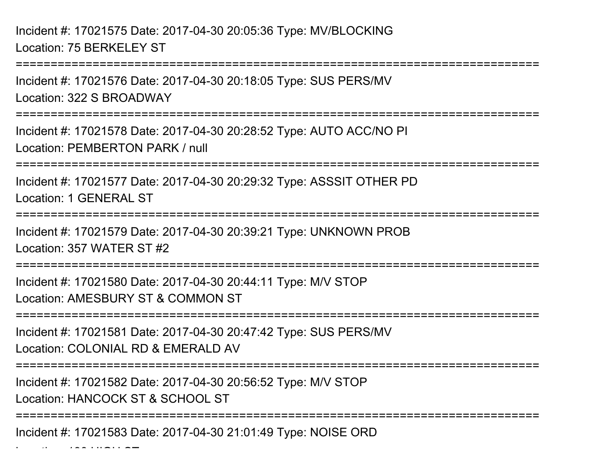Incident #: 17021575 Date: 2017-04-30 20:05:36 Type: MV/BLOCKINGLocation: 75 BERKELEY ST

===========================================================================

Incident #: 17021576 Date: 2017-04-30 20:18:05 Type: SUS PERS/MVLocation: 322 S BROADWAY

===========================================================================

Incident #: 17021578 Date: 2017-04-30 20:28:52 Type: AUTO ACC/NO PILocation: PEMBERTON PARK / null

===========================================================================

Incident #: 17021577 Date: 2017-04-30 20:29:32 Type: ASSSIT OTHER PDLocation: 1 GENERAL ST

===========================================================================

Incident #: 17021579 Date: 2017-04-30 20:39:21 Type: UNKNOWN PROBLocation: 357 WATER ST #2

===========================================================================

Incident #: 17021580 Date: 2017-04-30 20:44:11 Type: M/V STOP

Location: AMESBURY ST & COMMON ST

===========================================================================

Incident #: 17021581 Date: 2017-04-30 20:47:42 Type: SUS PERS/MVLocation: COLONIAL RD & EMERALD AV

===========================================================================

Incident #: 17021582 Date: 2017-04-30 20:56:52 Type: M/V STOP

Location: HANCOCK ST & SCHOOL ST

Location: 130 HIGH ST

========================

Incident #: 17021583 Date: 2017-04-30 21:01:49 Type: NOISE ORD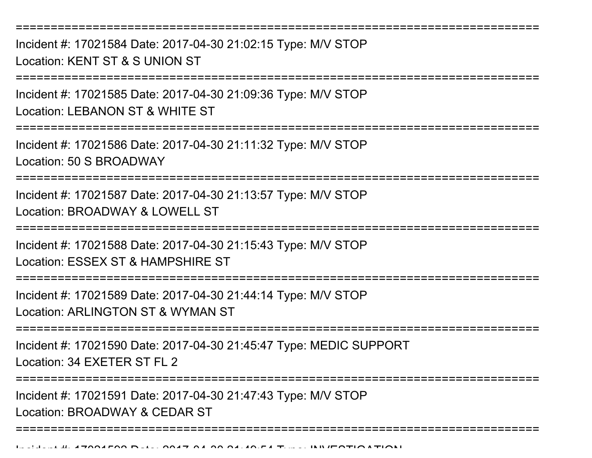===========================================================================Incident #: 17021584 Date: 2017-04-30 21:02:15 Type: M/V STOPLocation: KENT ST & S UNION ST===========================================================================Incident #: 17021585 Date: 2017-04-30 21:09:36 Type: M/V STOPLocation: LEBANON ST & WHITE ST===========================================================================Incident #: 17021586 Date: 2017-04-30 21:11:32 Type: M/V STOPLocation: 50 S BROADWAY===========================================================================Incident #: 17021587 Date: 2017-04-30 21:13:57 Type: M/V STOPLocation: BROADWAY & LOWELL ST ===========================================================================Incident #: 17021588 Date: 2017-04-30 21:15:43 Type: M/V STOPLocation: ESSEX ST & HAMPSHIRE ST===========================================================================Incident #: 17021589 Date: 2017-04-30 21:44:14 Type: M/V STOPLocation: ARLINGTON ST & WYMAN ST===========================================================================Incident #: 17021590 Date: 2017-04-30 21:45:47 Type: MEDIC SUPPORTLocation: 34 EXETER ST FL 2===========================================================================Incident #: 17021591 Date: 2017-04-30 21:47:43 Type: M/V STOPLocation: BROADWAY & CEDAR ST

===========================================================================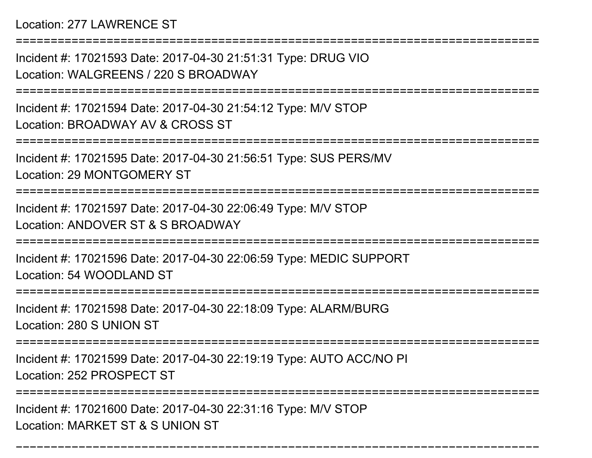## Location: 277 LAWRENCE ST

Incident #: 17021593 Date: 2017-04-30 21:51:31 Type: DRUG VIOLocation: WALGREENS / 220 S BROADWAY

===========================================================================

===========================================================================

Incident #: 17021594 Date: 2017-04-30 21:54:12 Type: M/V STOPLocation: BROADWAY AV & CROSS ST

===========================================================================

Incident #: 17021595 Date: 2017-04-30 21:56:51 Type: SUS PERS/MVLocation: 29 MONTGOMERY ST

===========================================================================

Incident #: 17021597 Date: 2017-04-30 22:06:49 Type: M/V STOPLocation: ANDOVER ST & S BROADWAY

===========================================================================

Incident #: 17021596 Date: 2017-04-30 22:06:59 Type: MEDIC SUPPORTLocation: 54 WOODLAND ST

===========================================================================

Incident #: 17021598 Date: 2017-04-30 22:18:09 Type: ALARM/BURGLocation: 280 S UNION ST

===========================================================================

Incident #: 17021599 Date: 2017-04-30 22:19:19 Type: AUTO ACC/NO PI

Location: 252 PROSPECT ST

==========================

===========================================================================

Incident #: 17021600 Date: 2017-04-30 22:31:16 Type: M/V STOPLocation: MARKET ST & S UNION ST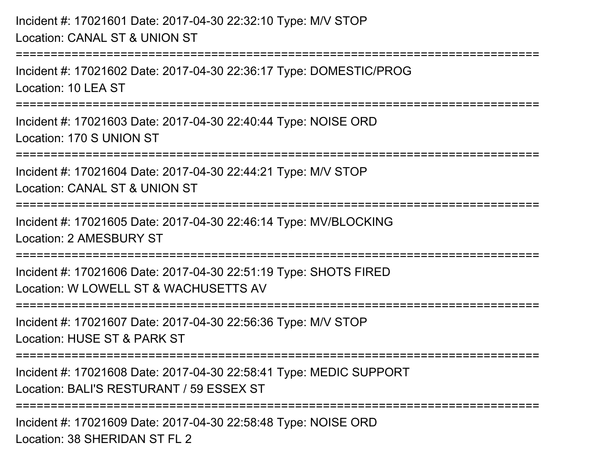Incident #: 17021601 Date: 2017-04-30 22:32:10 Type: M/V STOPLocation: CANAL ST & UNION ST===========================================================================Incident #: 17021602 Date: 2017-04-30 22:36:17 Type: DOMESTIC/PROGLocation: 10 LEA ST ===========================================================================Incident #: 17021603 Date: 2017-04-30 22:40:44 Type: NOISE ORDLocation: 170 S UNION ST===========================================================================Incident #: 17021604 Date: 2017-04-30 22:44:21 Type: M/V STOPLocation: CANAL ST & UNION ST===========================================================================Incident #: 17021605 Date: 2017-04-30 22:46:14 Type: MV/BLOCKINGLocation: 2 AMESBURY ST===========================================================================Incident #: 17021606 Date: 2017-04-30 22:51:19 Type: SHOTS FIREDLocation: W LOWELL ST & WACHUSETTS AV===========================================================================Incident #: 17021607 Date: 2017-04-30 22:56:36 Type: M/V STOPLocation: HUSE ST & PARK ST====================== Incident #: 17021608 Date: 2017-04-30 22:58:41 Type: MEDIC SUPPORTLocation: BALI'S RESTURANT / 59 ESSEX ST===========================================================================Incident #: 17021609 Date: 2017-04-30 22:58:48 Type: NOISE ORDLocation: 38 SHERIDAN ST FL 2